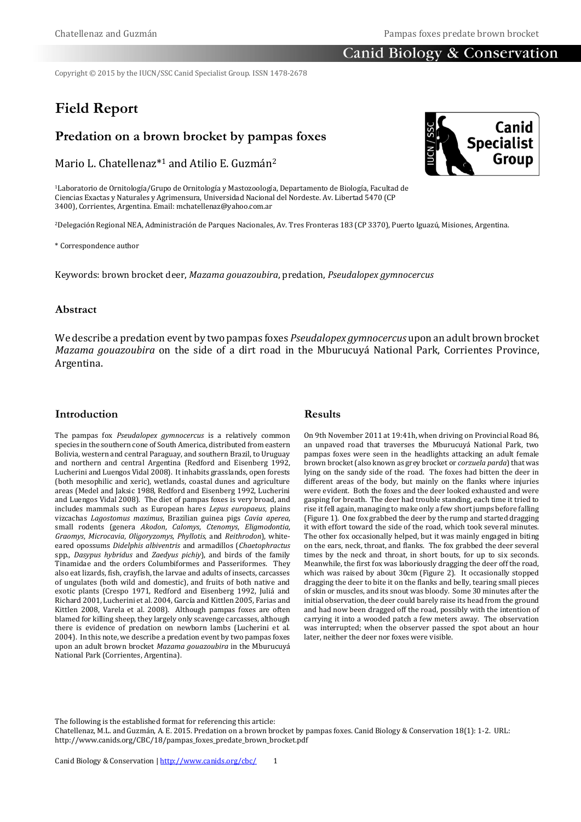# **Canid Biology & Conservation**

Copyright © 2015 by the IUCN/SSC Canid Specialist Group. ISSN 1478-2678

# **Field Report**

# **Predation on a brown brocket by pampas foxes**

Mario L. Chatellenaz\*<sup>1</sup> and Atilio E. Guzmán<sup>2</sup>

<sup>1</sup>Laboratorio de Ornitología/Grupo de Ornitología y Mastozoología, Departamento de Biología, Facultad de Ciencias Exactas y Naturales y Agrimensura, Universidad Nacional del Nordeste. Av. Libertad 5470 (CP 3400), Corrientes, Argentina. Email[: mchatellenaz@yahoo.com.ar](mailto:mchatellenaz@yahoo.com.ar)

<sup>2</sup>Delegación Regional NEA, Administración de Parques Nacionales, Av. Tres Fronteras 183 (CP 3370), Puerto Iguazú, Misiones, Argentina.

\* Correspondence author

Keywords: brown brocket deer, *Mazama gouazoubira*, predation, *Pseudalopex gymnocercus*

#### **Abstract**

We describe a predation event by two pampas foxes *Pseudalopex gymnocercus* upon an adult brown brocket *Mazama gouazoubira* on the side of a dirt road in the Mburucuyá National Park, Corrientes Province, Argentina.

#### **Introduction**

The pampas fox *Pseudalopex gymnocercus* is a relatively common species in the southern cone of South America, distributed from eastern Bolivia, western and central Paraguay, and southern Brazil, to Uruguay and northern and central Argentina (Redford and Eisenberg 1992, Lucherini and Luengos Vidal 2008). It inhabits grasslands, open forests (both mesophilic and xeric), wetlands, coastal dunes and agriculture areas (Medel and Jaksic 1988, Redford and Eisenberg 1992, Lucherini and Luengos Vidal 2008). The diet of pampas foxes is very broad, and includes mammals such as European hares *Lepus europaeus*, plains vizcachas *Lagostomus maximus*, Brazilian guinea pigs *Cavia aperea*, small rodents (genera *Akodon*, *Calomys*, *Ctenomys*, *Eligmodontia*, *Graomys*, *Microcavia*, *Oligoryzomys*, *Phyllotis*, and *Reithrodon*), whiteeared opossums *Didelphis albiventris* and armadillos (*Chaetophractus* spp., *Dasypus hybridus* and *Zaedyus pichiy*), and birds of the family Tinamidae and the orders Columbiformes and Passeriformes. They also eat lizards, fish, crayfish, the larvae and adults of insects, carcasses of ungulates (both wild and domestic), and fruits of both native and exotic plants (Crespo 1971, Redford and Eisenberg 1992, Juliá and Richard 2001, Lucherini et al. 2004, García and Kittlen 2005, Farias and Kittlen 2008, Varela et al. 2008). Although pampas foxes are often blamed for killing sheep, they largely only scavenge carcasses, although there is evidence of predation on newborn lambs (Lucherini et al. 2004). In this note, we describe a predation event by two pampas foxes upon an adult brown brocket *Mazama gouazoubira* in the Mburucuyá National Park (Corrientes, Argentina).

## **Results**

On 9th November 2011 at 19:41h, when driving on Provincial Road 86, an unpaved road that traverses the Mburucuyá National Park, two pampas foxes were seen in the headlights attacking an adult female brown brocket (also known as grey brocket or *corzuela parda*) that was lying on the sandy side of the road. The foxes had bitten the deer in different areas of the body, but mainly on the flanks where injuries were evident. Both the foxes and the deer looked exhausted and were gasping for breath. The deer had trouble standing, each time it tried to rise it fell again, managing to make only a few short jumps before falling (Figure 1). One fox grabbed the deer by the rump and started dragging it with effort toward the side of the road, which took several minutes. The other fox occasionally helped, but it was mainly engaged in biting on the ears, neck, throat, and flanks. The fox grabbed the deer several times by the neck and throat, in short bouts, for up to six seconds. Meanwhile, the first fox was laboriously dragging the deer off the road, which was raised by about 30cm (Figure 2). It occasionally stopped dragging the deer to bite it on the flanks and belly, tearing small pieces of skin or muscles, and its snout was bloody. Some 30 minutes after the initial observation, the deer could barely raise its head from the ground and had now been dragged off the road, possibly with the intention of carrying it into a wooded patch a few meters away. The observation was interrupted; when the observer passed the spot about an hour later, neither the deer nor foxes were visible.

The following is the established format for referencing this article:

Chatellenaz, M.L. and Guzmán, A. E. 2015. Predation on a brown brocket by pampas foxes. Canid Biology & Conservation 18(1): 1-2. URL: http://www.canids.org/CBC/18/pampas\_foxes\_predate\_brown\_brocket.pdf